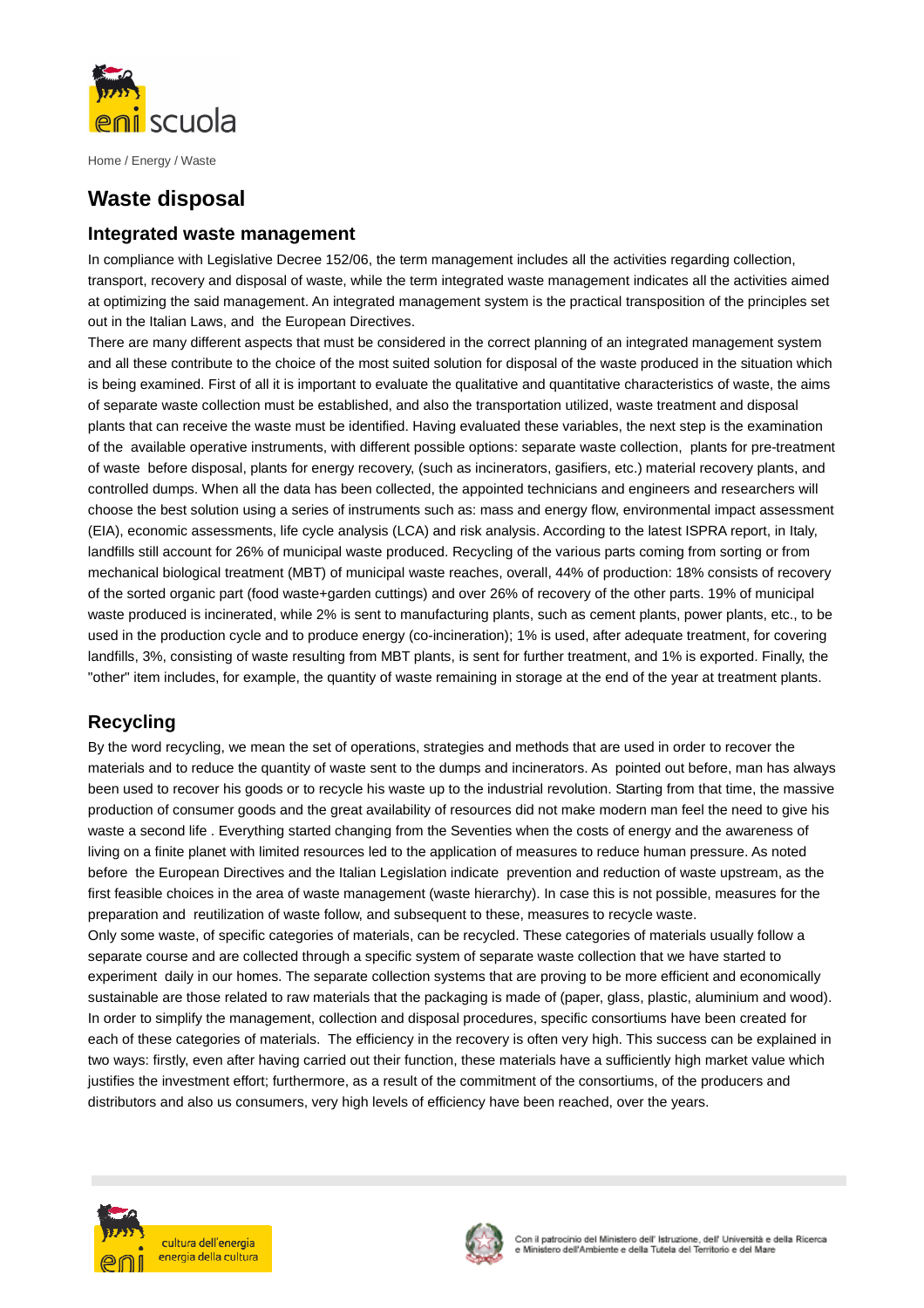

Home / Energy / Waste

# **Waste disposal**

### **Integrated waste management**

In compliance with Legislative Decree 152/06, the term management includes all the activities regarding collection, transport, recovery and disposal of waste, while the term integrated waste management indicates all the activities aimed at optimizing the said management. An integrated management system is the practical transposition of the principles set out in the Italian Laws, and the European Directives.

There are many different aspects that must be considered in the correct planning of an integrated management system and all these contribute to the choice of the most suited solution for disposal of the waste produced in the situation which is being examined. First of all it is important to evaluate the qualitative and quantitative characteristics of waste, the aims of separate waste collection must be established, and also the transportation utilized, waste treatment and disposal plants that can receive the waste must be identified. Having evaluated these variables, the next step is the examination of the available operative instruments, with different possible options: separate waste collection, plants for pre-treatment of waste before disposal, plants for energy recovery, (such as incinerators, gasifiers, etc.) material recovery plants, and controlled dumps. When all the data has been collected, the appointed technicians and engineers and researchers will choose the best solution using a series of instruments such as: mass and energy flow, environmental impact assessment (EIA), economic assessments, life cycle analysis (LCA) and risk analysis. According to the latest ISPRA report, in Italy, landfills still account for 26% of municipal waste produced. Recycling of the various parts coming from sorting or from mechanical biological treatment (MBT) of municipal waste reaches, overall, 44% of production: 18% consists of recovery of the sorted organic part (food waste+garden cuttings) and over 26% of recovery of the other parts. 19% of municipal waste produced is incinerated, while 2% is sent to manufacturing plants, such as cement plants, power plants, etc., to be used in the production cycle and to produce energy (co-incineration); 1% is used, after adequate treatment, for covering landfills, 3%, consisting of waste resulting from MBT plants, is sent for further treatment, and 1% is exported. Finally, the "other" item includes, for example, the quantity of waste remaining in storage at the end of the year at treatment plants.

# **Recycling**

By the word recycling, we mean the set of operations, strategies and methods that are used in order to recover the materials and to reduce the quantity of waste sent to the dumps and incinerators. As pointed out before, man has always been used to recover his goods or to recycle his waste up to the industrial revolution. Starting from that time, the massive production of consumer goods and the great availability of resources did not make modern man feel the need to give his waste a second life . Everything started changing from the Seventies when the costs of energy and the awareness of living on a finite planet with limited resources led to the application of measures to reduce human pressure. As noted before the European Directives and the Italian Legislation indicate prevention and reduction of waste upstream, as the first feasible choices in the area of waste management (waste hierarchy). In case this is not possible, measures for the preparation and reutilization of waste follow, and subsequent to these, measures to recycle waste.

Only some waste, of specific categories of materials, can be recycled. These categories of materials usually follow a separate course and are collected through a specific system of separate waste collection that we have started to experiment daily in our homes. The separate collection systems that are proving to be more efficient and economically sustainable are those related to raw materials that the packaging is made of (paper, glass, plastic, aluminium and wood). In order to simplify the management, collection and disposal procedures, specific consortiums have been created for each of these categories of materials. The efficiency in the recovery is often very high. This success can be explained in two ways: firstly, even after having carried out their function, these materials have a sufficiently high market value which justifies the investment effort; furthermore, as a result of the commitment of the consortiums, of the producers and distributors and also us consumers, very high levels of efficiency have been reached, over the years.



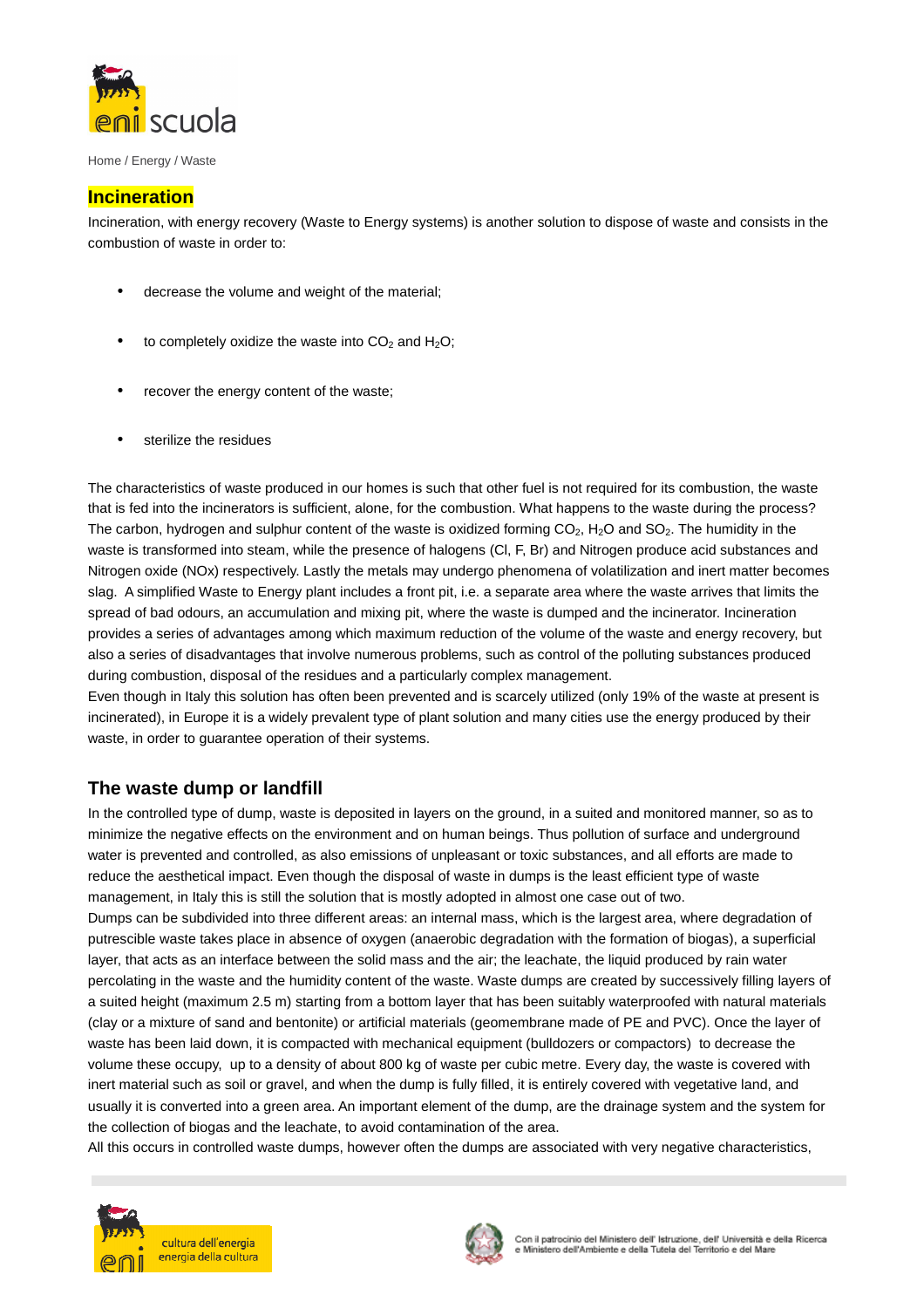

Home / Energy / Waste

#### **Incineration**

Incineration, with energy recovery (Waste to Energy systems) is another solution to dispose of waste and consists in the combustion of waste in order to:

- decrease the volume and weight of the material;
- to completely oxidize the waste into  $CO<sub>2</sub>$  and  $H<sub>2</sub>O$ ;
- recover the energy content of the waste;
- sterilize the residues

The characteristics of waste produced in our homes is such that other fuel is not required for its combustion, the waste that is fed into the incinerators is sufficient, alone, for the combustion. What happens to the waste during the process? The carbon, hydrogen and sulphur content of the waste is oxidized forming  $CO<sub>2</sub>$ , H<sub>2</sub>O and SO<sub>2</sub>. The humidity in the waste is transformed into steam, while the presence of halogens (Cl, F, Br) and Nitrogen produce acid substances and Nitrogen oxide (NOx) respectively. Lastly the metals may undergo phenomena of volatilization and inert matter becomes slag. A simplified Waste to Energy plant includes a front pit, i.e. a separate area where the waste arrives that limits the spread of bad odours, an accumulation and mixing pit, where the waste is dumped and the incinerator. Incineration provides a series of advantages among which maximum reduction of the volume of the waste and energy recovery, but also a series of disadvantages that involve numerous problems, such as control of the polluting substances produced during combustion, disposal of the residues and a particularly complex management.

Even though in Italy this solution has often been prevented and is scarcely utilized (only 19% of the waste at present is incinerated), in Europe it is a widely prevalent type of plant solution and many cities use the energy produced by their waste, in order to guarantee operation of their systems.

## **The waste dump or landfill**

In the controlled type of dump, waste is deposited in layers on the ground, in a suited and monitored manner, so as to minimize the negative effects on the environment and on human beings. Thus pollution of surface and underground water is prevented and controlled, as also emissions of unpleasant or toxic substances, and all efforts are made to reduce the aesthetical impact. Even though the disposal of waste in dumps is the least efficient type of waste management, in Italy this is still the solution that is mostly adopted in almost one case out of two. Dumps can be subdivided into three different areas: an internal mass, which is the largest area, where degradation of putrescible waste takes place in absence of oxygen (anaerobic degradation with the formation of biogas), a superficial layer, that acts as an interface between the solid mass and the air; the leachate, the liquid produced by rain water percolating in the waste and the humidity content of the waste. Waste dumps are created by successively filling layers of a suited height (maximum 2.5 m) starting from a bottom layer that has been suitably waterproofed with natural materials (clay or a mixture of sand and bentonite) or artificial materials (geomembrane made of PE and PVC). Once the layer of waste has been laid down, it is compacted with mechanical equipment (bulldozers or compactors) to decrease the volume these occupy, up to a density of about 800 kg of waste per cubic metre. Every day, the waste is covered with inert material such as soil or gravel, and when the dump is fully filled, it is entirely covered with vegetative land, and usually it is converted into a green area. An important element of the dump, are the drainage system and the system for the collection of biogas and the leachate, to avoid contamination of the area.

All this occurs in controlled waste dumps, however often the dumps are associated with very negative characteristics,